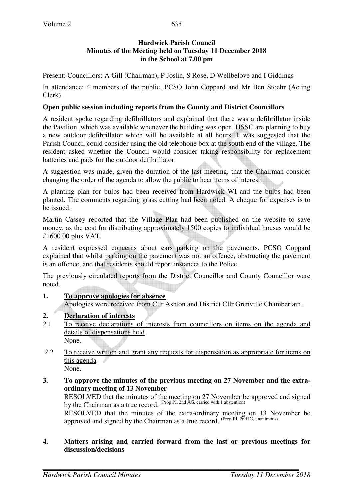## **Hardwick Parish Council Minutes of the Meeting held on Tuesday 11 December 2018 in the School at 7.00 pm**

Present: Councillors: A Gill (Chairman), P Joslin, S Rose, D Wellbelove and I Giddings

In attendance: 4 members of the public, PCSO John Coppard and Mr Ben Stoehr (Acting Clerk).

### **Open public session including reports from the County and District Councillors**

A resident spoke regarding defibrillators and explained that there was a defibrillator inside the Pavilion, which was available whenever the building was open. HSSC are planning to buy a new outdoor defibrillator which will be available at all hours. It was suggested that the Parish Council could consider using the old telephone box at the south end of the village. The resident asked whether the Council would consider taking responsibility for replacement batteries and pads for the outdoor defibrillator.

A suggestion was made, given the duration of the last meeting, that the Chairman consider changing the order of the agenda to allow the public to hear items of interest.

A planting plan for bulbs had been received from Hardwick WI and the bulbs had been planted. The comments regarding grass cutting had been noted. A cheque for expenses is to be issued.

Martin Cassey reported that the Village Plan had been published on the website to save money, as the cost for distributing approximately 1500 copies to individual houses would be £1600.00 plus VAT.

A resident expressed concerns about cars parking on the pavements. PCSO Coppard explained that whilst parking on the pavement was not an offence, obstructing the pavement is an offence, and that residents should report instances to the Police.

The previously circulated reports from the District Councillor and County Councillor were noted.

## **1. To approve apologies for absence**

Apologies were received from Cllr Ashton and District Cllr Grenville Chamberlain.

## **2. Declaration of interests**

- 2.1 To receive declarations of interests from councillors on items on the agenda and details of dispensations held
	- None.
- 2.2 To receive written and grant any requests for dispensation as appropriate for items on this agenda

None.

#### **3. To approve the minutes of the previous meeting on 27 November and the extraordinary meeting of 13 November**

RESOLVED that the minutes of the meeting on 27 November be approved and signed by the Chairman as a true record.  $(Prop \, PJ, 2nd \, \overline{AG})$ , carried with 1 abstention)

RESOLVED that the minutes of the extra-ordinary meeting on 13 November be approved and signed by the Chairman as a true record.  $^{(Prop\ PI, 2nd\ IG, unanimous)}$ 

#### **4. Matters arising and carried forward from the last or previous meetings for discussion/decisions**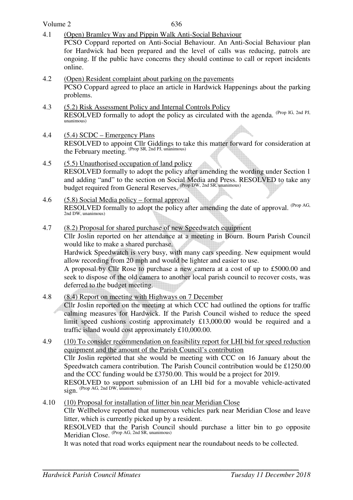- Volume 2 636 4.1 (Open) Bramley Way and Pippin Walk Anti-Social Behaviour PCSO Coppard reported on Anti-Social Behaviour. An Anti-Social Behaviour plan for Hardwick had been prepared and the level of calls was reducing, patrols are ongoing. If the public have concerns they should continue to call or report incidents online. 4.2 (Open) Resident complaint about parking on the pavements PCSO Coppard agreed to place an article in Hardwick Happenings about the parking problems. 4.3 (5.2) Risk Assessment Policy and Internal Controls Policy RESOLVED formally to adopt the policy as circulated with the agenda. (Prop IG, 2nd PJ, unanimous) 4.4 (5.4) SCDC – Emergency Plans RESOLVED to appoint Cllr Giddings to take this matter forward for consideration at the February meeting. (Prop SR, 2nd PJ, unanimous) 4.5 (5.5) Unauthorised occupation of land policy RESOLVED formally to adopt the policy after amending the wording under Section 1 and adding "and" to the section on Social Media and Press. RESOLVED to take any budget required from General Reserves. (Prop DW, 2nd SR, unanimous) 4.6 (5.8) Social Media policy – formal approval RESOLVED formally to adopt the policy after amending the date of approval. <sup>(Prop AG,</sup> 2nd DW, unanimous) 4.7 (8.2) Proposal for shared purchase of new Speedwatch equipment Cllr Joslin reported on her attendance at a meeting in Bourn. Bourn Parish Council would like to make a shared purchase. Hardwick Speedwatch is very busy, with many cars speeding. New equipment would allow recording from 20 mph and would be lighter and easier to use. A proposal by Cllr Rose to purchase a new camera at a cost of up to £5000.00 and seek to dispose of the old camera to another local parish council to recover costs, was deferred to the budget meeting. 4.8 (8.4) Report on meeting with Highways on 7 December Cllr Joslin reported on the meeting at which CCC had outlined the options for traffic calming measures for Hardwick. If the Parish Council wished to reduce the speed limit speed cushions costing approximately £13,000.00 would be required and a traffic island would cost approximately £10,000.00. 4.9 (10) To consider recommendation on feasibility report for LHI bid for speed reduction equipment and the amount of the Parish Council's contribution Cllr Joslin reported that she would be meeting with CCC on 16 January about the Speedwatch camera contribution. The Parish Council contribution would be £1250.00 and the CCC funding would be £3750.00. This would be a project for 2019. RESOLVED to support submission of an LHI bid for a movable vehicle-activated  $sign.$  (Prop AG, 2nd DW, unanimous)
- 4.10 (10) Proposal for installation of litter bin near Meridian Close Cllr Wellbelove reported that numerous vehicles park near Meridian Close and leave litter, which is currently picked up by a resident. RESOLVED that the Parish Council should purchase a litter bin to go opposite Meridian Close. (Prop AG, 2nd SR, unanimous)

It was noted that road works equipment near the roundabout needs to be collected.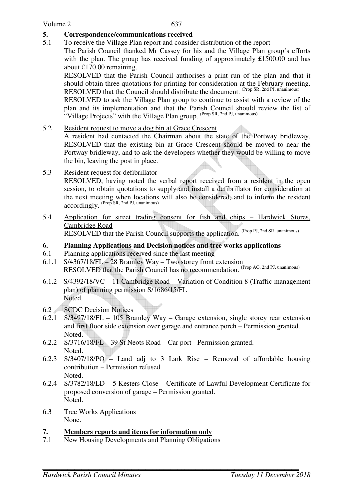## **5. Correspondence/communications received**

5.1 To receive the Village Plan report and consider distribution of the report

 The Parish Council thanked Mr Cassey for his and the Village Plan group's efforts with the plan. The group has received funding of approximately £1500.00 and has about £170.00 remaining.

RESOLVED that the Parish Council authorises a print run of the plan and that it should obtain three quotations for printing for consideration at the February meeting. RESOLVED that the Council should distribute the document. (Prop SR, 2nd PJ, unanimous)

 RESOLVED to ask the Village Plan group to continue to assist with a review of the plan and its implementation and that the Parish Council should review the list of "Village Projects" with the Village Plan group. (Prop SR, 2nd PJ, unanimous)

5.2 Resident request to move a dog bin at Grace Crescent

 A resident had contacted the Chairman about the state of the Portway bridleway. RESOLVED that the existing bin at Grace Crescent should be moved to near the Portway bridleway, and to ask the developers whether they would be willing to move the bin, leaving the post in place.

5.3 Resident request for defibrillator

RESOLVED, having noted the verbal report received from a resident in the open session, to obtain quotations to supply and install a defibrillator for consideration at the next meeting when locations will also be considered, and to inform the resident accordingly. (Prop SR, 2nd PJ, unanimous)

5.4 Application for street trading consent for fish and chips – Hardwick Stores, Cambridge Road

RESOLVED that the Parish Council supports the application. (Prop PJ, 2nd SR, unanimous)

## **6. Planning Applications and Decision notices and tree works applications**

- 6.1 Planning applications received since the last meeting
- 6.1.1 S/4367/18/FL 28 Bramley Way Two storey front extension RESOLVED that the Parish Council has no recommendation. (Prop AG, 2nd PJ, unanimous)
- 6.1.2 S/4392/18/VC 11 Cambridge Road Variation of Condition 8 (Traffic management plan) of planning permission S/1686/15/FL Noted.
- 6.2 SCDC Decision Notices
- 6.2.1 S/3497/18/FL 105 Bramley Way Garage extension, single storey rear extension and first floor side extension over garage and entrance porch – Permission granted. Noted.
- 6.2.2 S/3716/18/FL 39 St Neots Road Car port Permission granted. Noted.
- 6.2.3 S/3407/18/PO Land adj to 3 Lark Rise Removal of affordable housing contribution – Permission refused. Noted.
- 6.2.4 S/3782/18/LD 5 Kesters Close Certificate of Lawful Development Certificate for proposed conversion of garage – Permission granted. Noted.
- 6.3 Tree Works Applications None.

## **7. Members reports and items for information only**

7.1 New Housing Developments and Planning Obligations